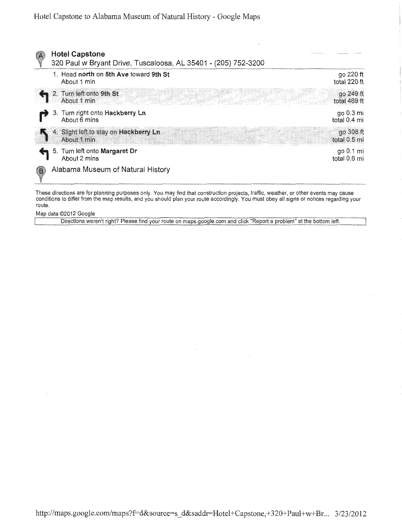

These directions are for planning purposes only. You may find that construction projects, traffic, weather, or other events may cause conditions to differ from the map results, and you should plan your route accordingly. You must obey all signs or notices regarding your route.

Map data ©2012 Google

Directions weren't right? Please find your route on maps.google.com and click "Report a problem" at the bottom left.